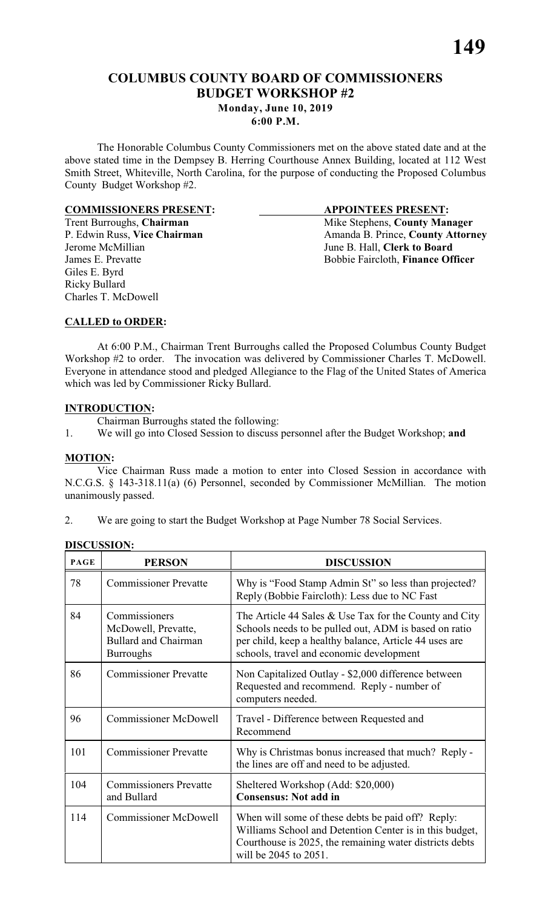## **COLUMBUS COUNTY BOARD OF COMMISSIONERS BUDGET WORKSHOP #2**

**Monday, June 10, 2019**

#### **6:00 P.M.**

The Honorable Columbus County Commissioners met on the above stated date and at the above stated time in the Dempsey B. Herring Courthouse Annex Building, located at 112 West Smith Street, Whiteville, North Carolina, for the purpose of conducting the Proposed Columbus County Budget Workshop #2.

# **COMMISSIONERS PRESENT:**<br>
Trent Burroughs, Chairman<br>
Mike Stephens, County Man

Giles E. Byrd Ricky Bullard Charles T. McDowell

Trent Burroughs, **Chairman** Mike Stephens, **County Manager** Mike Stephens, **County Manager P.** Edwin Russ, Vice Chairman Manager Amanda B. Prince, **County Attorn** P. Edwin Russ, **Vice Chairman** Amanda B. Prince, **County Attorney**<br>Jerome McMillian June B. Hall. Clerk to Board June B. Hall, **Clerk to Board** James E. Prevatte Bobbie Faircloth, **Finance Officer** 

#### **CALLED to ORDER:**

At 6:00 P.M., Chairman Trent Burroughs called the Proposed Columbus County Budget Workshop #2 to order. The invocation was delivered by Commissioner Charles T. McDowell. Everyone in attendance stood and pledged Allegiance to the Flag of the United States of America which was led by Commissioner Ricky Bullard.

#### **INTRODUCTION:**

Chairman Burroughs stated the following:

1. We will go into Closed Session to discuss personnel after the Budget Workshop; **and**

#### **MOTION:**

Vice Chairman Russ made a motion to enter into Closed Session in accordance with N.C.G.S. § 143-318.11(a) (6) Personnel, seconded by Commissioner McMillian. The motion unanimously passed.

|    |  |  | We are going to start the Budget Workshop at Page Number 78 Social Services. |  |  |
|----|--|--|------------------------------------------------------------------------------|--|--|
|    |  |  |                                                                              |  |  |
| ۷. |  |  |                                                                              |  |  |
|    |  |  |                                                                              |  |  |

| <b>PAGE</b> | <b>PERSON</b>                                                                           | <b>DISCUSSION</b>                                                                                                                                                                                                       |  |  |
|-------------|-----------------------------------------------------------------------------------------|-------------------------------------------------------------------------------------------------------------------------------------------------------------------------------------------------------------------------|--|--|
| 78          | <b>Commissioner Prevatte</b>                                                            | Why is "Food Stamp Admin St" so less than projected?<br>Reply (Bobbie Faircloth): Less due to NC Fast                                                                                                                   |  |  |
| 84          | Commissioners<br>McDowell, Prevatte,<br><b>Bullard and Chairman</b><br><b>Burroughs</b> | The Article 44 Sales $&$ Use Tax for the County and City<br>Schools needs to be pulled out, ADM is based on ratio<br>per child, keep a healthy balance, Article 44 uses are<br>schools, travel and economic development |  |  |
| 86          | <b>Commissioner Prevatte</b>                                                            | Non Capitalized Outlay - \$2,000 difference between<br>Requested and recommend. Reply - number of<br>computers needed.                                                                                                  |  |  |
| 96          | <b>Commissioner McDowell</b>                                                            | Travel - Difference between Requested and<br>Recommend                                                                                                                                                                  |  |  |
| 101         | <b>Commissioner Prevatte</b>                                                            | Why is Christmas bonus increased that much? Reply -<br>the lines are off and need to be adjusted.                                                                                                                       |  |  |
| 104         | <b>Commissioners Prevatte</b><br>and Bullard                                            | Sheltered Workshop (Add: \$20,000)<br><b>Consensus: Not add in</b>                                                                                                                                                      |  |  |
| 114         | <b>Commissioner McDowell</b>                                                            | When will some of these debts be paid off? Reply:<br>Williams School and Detention Center is in this budget,<br>Courthouse is 2025, the remaining water districts debts<br>will be 2045 to 2051.                        |  |  |

#### **DISCUSSION:**